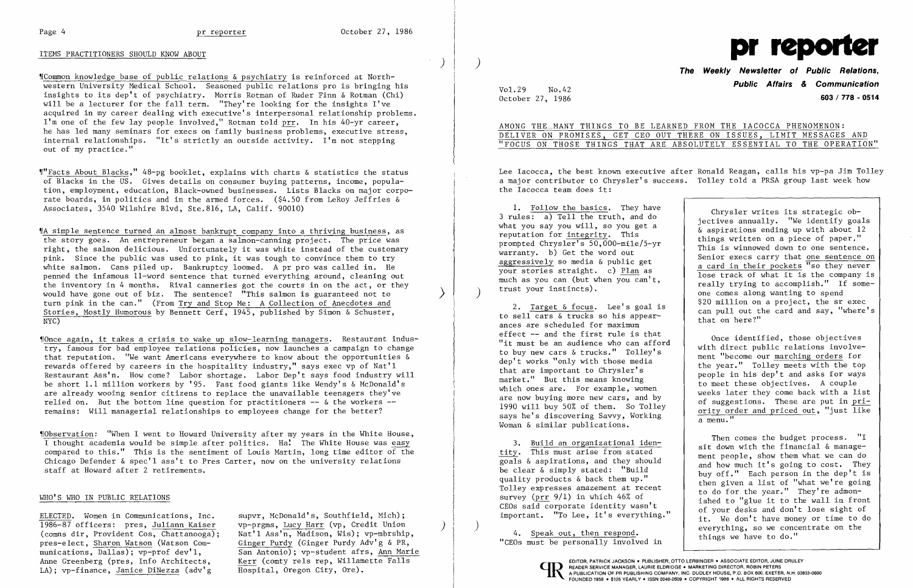## ITEMS PRACTITIONERS SHOULD KNOW ABOUT

,rCommon knowledge base of public relations &psychiatry is reinforced at Northwestern University Medical School. Seasoned public relations pro is bringing his insights to its dep't of psychiatry. Morris Rotman of Ruder Finn & Rotman (Chi) will be a lecturer for the fall term. "They're looking for the insights I've acquired in my career dealing with executive's interpersonal relationship problems. I'm one of the few lay people involved," Rotman told prr. In his 40-yr career, he has led many seminars for execs on family business problems, executive stress, internal relationships. "It's strictly an outside activity. I'm not stepping out of my practice."

"Facts About Blacks," 48-pg booklet, explains with charts & statistics the status of Blacks in the US. Gives details on consumer buying patterns, income, population, employment, education, Black-owned businesses. Lists Blacks on major corporate boards, in politics and in the armed forces. (\$4.50 from LeRoy Jeffries & Associates, 3540 Wilshire Blvd, Ste.816, LA, Calif. 90010)

"Once again, it takes a crisis to wake up slow-learning managers. Restaurant industry, famous for bad employee relations policies, now launches a campaign to change that reputation. "We want Americans everywhere to know about the opportunities & rewards offered by careers in the hospitality industry," says exec vp of Nat'l Restaurant Ass'n. How come? Labor shortage. Labor Dep't says food industry will be short 1.1 million workers by '95. Fast food giants like Wendy's & McDonald's are already wooing senior citizens to replace the unavailable teenagers they've relied on. But the bottom line question for practitioners  $-\epsilon$  & the workers  $-\epsilon$ remains: Will managerial relationships to employees change for the better?

'fA simple sentence turned an almost bankrupt company into a thriving business, as the story goes. An entrepreneur began a salmon-canning project. The price was right, the salmon delicious. Unfortunately it was white instead of the customary pink. Since the public was used to pink, it was tough to convince them to try white salmon. Cans piled up. Bankruptcy loomed. A pr pro was called in. He penned the infamous II-word sentence that turned everything around, cleaning out the inventory in 4 months. Rival canneries got the courts in on the act, or they would have gone out of biz. The sentence? "This salmon is guaranteed not to turn pink in the can." (From Try and Stop Me: A Collection of Anecdotes and Stories, Mostly Humorous by Bennett Cerf, 1945, published by Simon & Schuster, NYC)

AMONG THE MANY THINGS TO BE LEARNED FROM THE IACOCCA PHENOMENON: DELIVER ON PROMISES, GET CEO OUT THERE ON ISSUES, LIMIT MESSAGES AND "FOCUS ON THOSE THINGS THAT ARE ABSOLUTELY ESSENTIAL TO THE OPERATION"

2. Target & focus. Lee's goal is to sell cars  $\&$  trucks so his appearances are scheduled for maximum effect -- and the first rule is that Once identified, those objectives<br>"it must be an audience who can afford<br>to buy new cars & trucks." Tolley's<br>ment "become our marching orders for says he's discovering Savvy, Working<br>Woman & similar publications.

4. Speak out, then respond.<br>"CEOs must be personally involved in things we have to do."

,rObservation: "When I went to Howard University after my years in the White House, I thought academia would be simple after politics. Ha! The White House was easy compared to this." This is the sentiment of Louis Martin, long time editor of the Chicago Defender & spec'l ass't to Pres Carter, now on the university relations staff at Howard after 2 retirements.

### WHO'S WHO IN PUBLIC RELATIONS

ELECTED. Women in Communications, Inc. supvr, McDonald's, Southfield, Mich);<br>1986-87 officers: pres, Juliann Kaiser vp-prgms, Lucy Harr (vp, Credit Union 1986-87 officers: pres, Juliann Kaiser vp-prgms, Lucy Harr (vp, Credit Union (comns dir, Provident Cos, Chattanooga); Nat'l Ass'n, Madison, Wis); vp-mbrship, pres-elect. Sharon Watson (Watson Com- Ginger Purdy (Ginger Purd pres-elect, Sharon Watson (Watson Com-<br>munications, Dallas); vp-prof dev'1, San Antonio); vp-student afrs, Ann Mar:

San Antonio); vp-student afrs, Ann Marie<br>Kerr (comty rels rep, Willamette Falls Anne Greenberg (pres, Info Architects, Kerr (comty rels rep, Willamette Falls | EDITOR, PATRICK JACKSON. PUBLISHER, OTTO LERBINGER. ASSOCIATE EDITOR, JUNE DRULEY<br>
LA): vp-finance, Janice DiNezza (adv'g Hospital, Oregon Cit

 $\big)$ 

 $\rightarrow$  )



**Public Affairs** *&* **Communication** Vol. 29 No.42

prompted chryster s 50,000-mile/5-yr<br>warranty. b) Get the word out<br>senior execs carry that <u>one sentence on</u><br>your stories straight. c) <u>Plan</u> as<br>lose track of what it is the company is much as you can (but when you can't, really trying to accomplish." If some-<br>trust your instincts). one comes along wanting to spend \$20 million on a project, the sr exec can pull out the card and say, "where's<br>that on here?"

to buy new cars & trucks." Tolley's<br>
dep't works "only with those media<br>
that are important to Chrysler's<br>
market." But this means knowing<br>
which ones are. For example, women<br>
are now huving more now and by<br>
eveks later th which ones are. For example, women<br>are now buying more new cars, and by<br>1990 will buy 50% of them. So Tolley<br>says he's discovering Savvy, Working<br>a menu."<br>a menu."

3. Build an organizational iden-<br>
tity. This must arise from stated<br>
goals & aspirations, and they should<br>
be clear & simply stated: "Build<br>
quality products & back them up."<br>
Tolley expresses and the should<br>
be clear & si Tolley expresses amazement at recent<br>survey (prr 9/1) in which 46% of<br>CEOs said corporate identity wasn't<br>important. "To Lee, it's everything."<br>ished to "glue it to the wall in front<br>of your desks and don't lose sight of<br>i

October 27, 1986 **603 I 778 - 0514** 

Lee Iacocca, the best known executive after Ronald Reagan, calls his vp-pa Jim Tolley a major contributor to Chrysler's success. Tolley told a PRSA group last week how the Iacocca team does it:

1. Follow the basics. They have<br>3 rules: a) Tell the truth, and do<br>what you say you will, so you get a<br>reputation for <u>integrity</u>. This<br>prompted Chrysler's 50,000-mile/5-yr<br>remeature b) Cot the word out<br>reputation is with